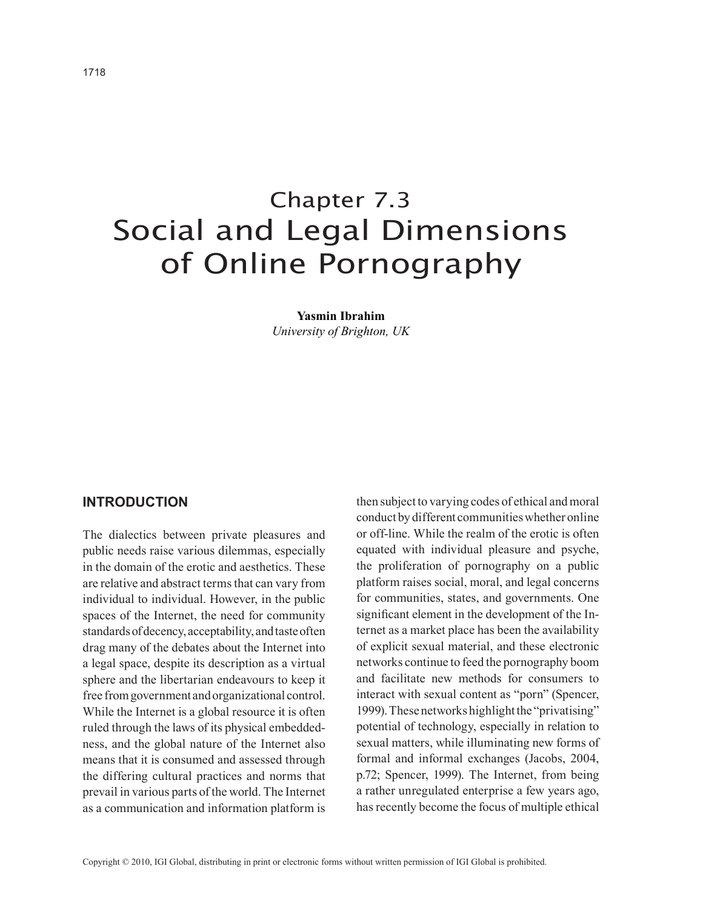# Chapter 7.3 Social and Legal Dimensions of Online Pornography

**Yasmin Ibrahim** *University of Brighton, UK*

#### **Introduction**

The dialectics between private pleasures and public needs raise various dilemmas, especially in the domain of the erotic and aesthetics. These are relative and abstract terms that can vary from individual to individual. However, in the public spaces of the Internet, the need for community standards of decency, acceptability, and taste often drag many of the debates about the Internet into a legal space, despite its description as a virtual sphere and the libertarian endeavours to keep it free from government and organizational control. While the Internet is a global resource it is often ruled through the laws of its physical embeddedness, and the global nature of the Internet also means that it is consumed and assessed through the differing cultural practices and norms that prevail in various parts of the world. The Internet as a communication and information platform is then subject to varying codes of ethical and moral conduct by different communities whether online or off-line. While the realm of the erotic is often equated with individual pleasure and psyche, the proliferation of pornography on a public platform raises social, moral, and legal concerns for communities, states, and governments. One significant element in the development of the Internet as a market place has been the availability of explicit sexual material, and these electronic networks continue to feed the pornography boom and facilitate new methods for consumers to interact with sexual content as "porn" (Spencer, 1999). These networks highlight the "privatising" potential of technology, especially in relation to sexual matters, while illuminating new forms of formal and informal exchanges (Jacobs, 2004, p.72; Spencer, 1999). The Internet, from being a rather unregulated enterprise a few years ago, has recently become the focus of multiple ethical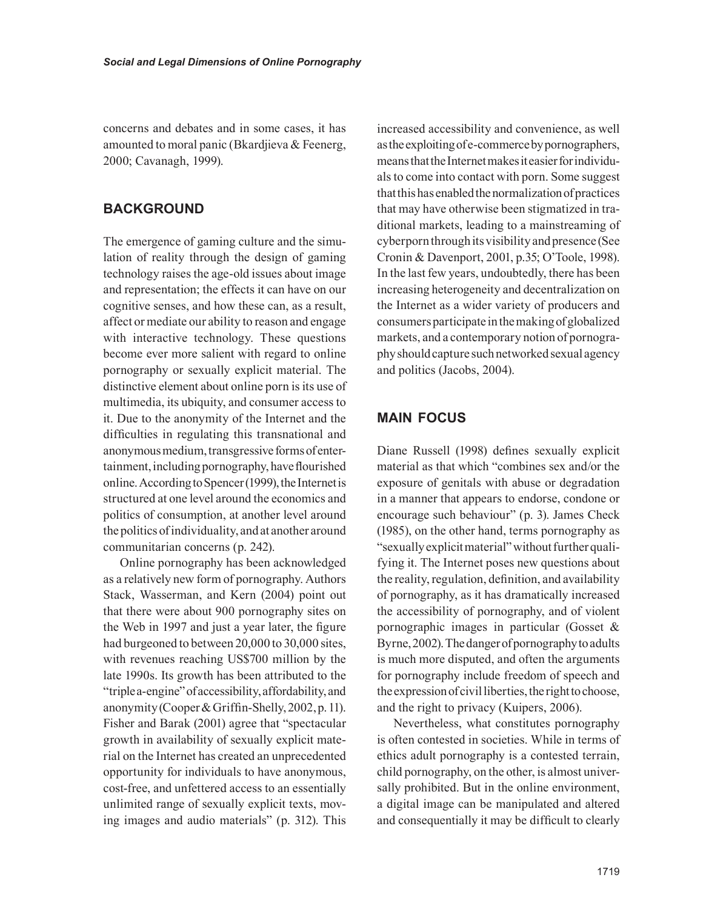concerns and debates and in some cases, it has amounted to moral panic (Bkardjieva & Feenerg, 2000; Cavanagh, 1999).

# **Background**

The emergence of gaming culture and the simulation of reality through the design of gaming technology raises the age-old issues about image and representation; the effects it can have on our cognitive senses, and how these can, as a result, affect or mediate our ability to reason and engage with interactive technology. These questions become ever more salient with regard to online pornography or sexually explicit material. The distinctive element about online porn is its use of multimedia, its ubiquity, and consumer access to it. Due to the anonymity of the Internet and the difficulties in regulating this transnational and anonymous medium, transgressive forms of entertainment, including pornography, have flourished online. According to Spencer (1999), the Internet is structured at one level around the economics and politics of consumption, at another level around the politics of individuality, and at another around communitarian concerns (p. 242).

Online pornography has been acknowledged as a relatively new form of pornography. Authors Stack, Wasserman, and Kern (2004) point out that there were about 900 pornography sites on the Web in 1997 and just a year later, the figure had burgeoned to between 20,000 to 30,000 sites, with revenues reaching US\$700 million by the late 1990s. Its growth has been attributed to the "triple a-engine" of accessibility, affordability, and anonymity(Cooper&Griffin-Shelly,2002,p.11). Fisher and Barak (2001) agree that "spectacular growth in availability of sexually explicit material on the Internet has created an unprecedented opportunity for individuals to have anonymous, cost-free, and unfettered access to an essentially unlimited range of sexually explicit texts, moving images and audio materials" (p. 312). This

increased accessibility and convenience, as well as the exploiting of e-commerce by pornographers, means that the Internet makes it easier for individuals to come into contact with porn. Some suggest that this has enabled the normalization of practices that may have otherwise been stigmatized in traditional markets, leading to a mainstreaming of cyberporn through its visibility and presence (See Cronin & Davenport, 2001, p.35; O'Toole, 1998). In the last few years, undoubtedly, there has been increasing heterogeneity and decentralization on the Internet as a wider variety of producers and consumers participate in the making of globalized markets, and a contemporary notion of pornography should capture such networked sexual agency and politics (Jacobs, 2004).

# **Main Focus**

Diane Russell (1998) defines sexually explicit material as that which "combines sex and/or the exposure of genitals with abuse or degradation in a manner that appears to endorse, condone or encourage such behaviour" (p. 3). James Check (1985), on the other hand, terms pornography as "sexually explicit material" without further qualifying it. The Internet poses new questions about the reality, regulation, definition, and availability of pornography, as it has dramatically increased the accessibility of pornography, and of violent pornographic images in particular (Gosset & Byrne, 2002). The danger of pornography to adults is much more disputed, and often the arguments for pornography include freedom of speech and the expression of civil liberties, the right to choose, and the right to privacy (Kuipers, 2006).

Nevertheless, what constitutes pornography is often contested in societies. While in terms of ethics adult pornography is a contested terrain, child pornography, on the other, is almost universally prohibited. But in the online environment, a digital image can be manipulated and altered and consequentially it may be difficult to clearly